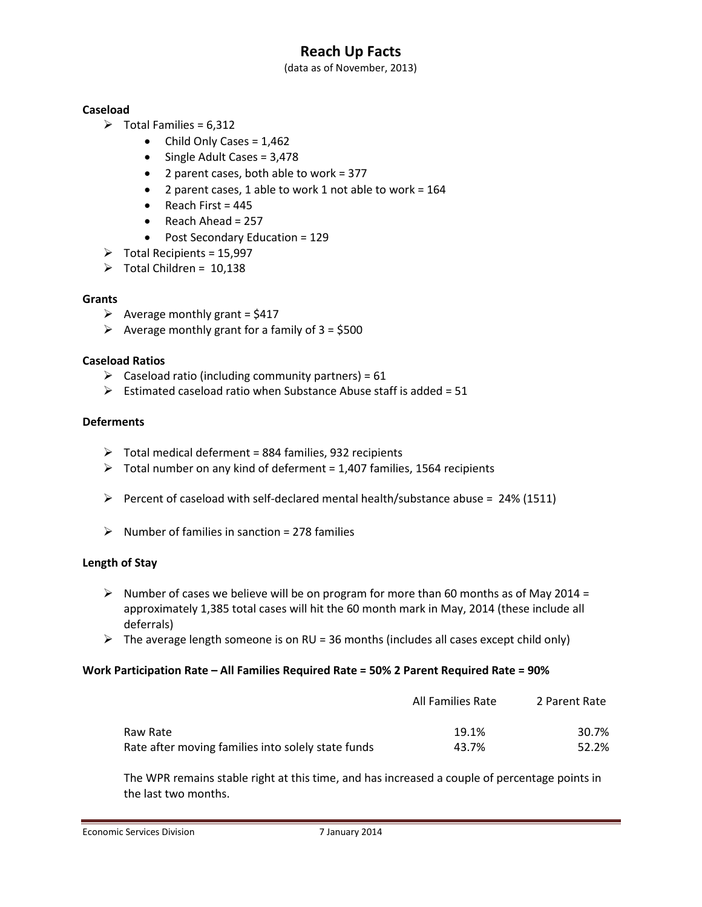# **Reach Up Facts**

(data as of November, 2013)

### **Caseload**

- $\triangleright$  Total Families = 6,312
	- $\bullet$  Child Only Cases = 1,462
	- Single Adult Cases = 3,478
	- 2 parent cases, both able to work = 377
	- 2 parent cases, 1 able to work 1 not able to work = 164
	- $\bullet$  Reach First = 445
	- $\bullet$  Reach Ahead = 257
	- Post Secondary Education = 129
- $\triangleright$  Total Recipients = 15,997
- $\triangleright$  Total Children = 10,138

### **Grants**

- $\triangleright$  Average monthly grant = \$417
- $\triangleright$  Average monthly grant for a family of 3 = \$500

### **Caseload Ratios**

- $\triangleright$  Caseload ratio (including community partners) = 61
- $\triangleright$  Estimated caseload ratio when Substance Abuse staff is added = 51

### **Deferments**

- $\triangleright$  Total medical deferment = 884 families, 932 recipients
- $\triangleright$  Total number on any kind of deferment = 1,407 families, 1564 recipients
- Percent of caseload with self-declared mental health/substance abuse =  $24\%$  (1511)
- $\triangleright$  Number of families in sanction = 278 families

#### **Length of Stay**

- $\triangleright$  Number of cases we believe will be on program for more than 60 months as of May 2014 = approximately 1,385 total cases will hit the 60 month mark in May, 2014 (these include all deferrals)
- $\triangleright$  The average length someone is on RU = 36 months (includes all cases except child only)

#### **Work Participation Rate – All Families Required Rate = 50% 2 Parent Required Rate = 90%**

|                                                    | All Families Rate | 2 Parent Rate |
|----------------------------------------------------|-------------------|---------------|
| Raw Rate                                           | 19.1%             | 30.7%         |
| Rate after moving families into solely state funds | 43.7%             | 52.2%         |

The WPR remains stable right at this time, and has increased a couple of percentage points in the last two months.